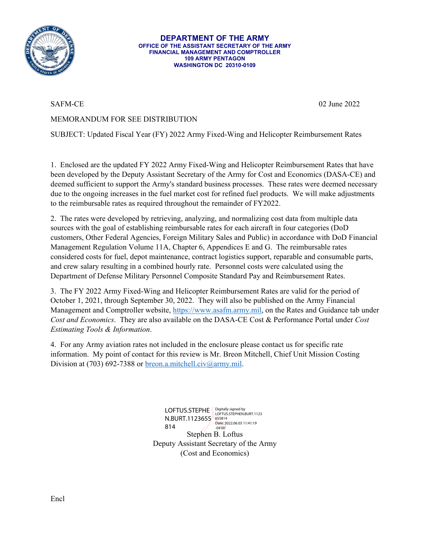

**DEPARTMENT OF THE ARMY OFFICE OF THE ASSISTANT SECRETARY OF THE ARMY FINANCIAL MANAGEMENT AND COMPTROLLER 109 ARMY PENTAGON WASHINGTON DC 20310-0109**

SAFM-CE 02 June 2022

## MEMORANDUM FOR SEE DISTRIBUTION

SUBJECT: Updated Fiscal Year (FY) 2022 Army Fixed-Wing and Helicopter Reimbursement Rates

1. Enclosed are the updated FY 2022 Army Fixed-Wing and Helicopter Reimbursement Rates that have been developed by the Deputy Assistant Secretary of the Army for Cost and Economics (DASA-CE) and deemed sufficient to support the Army's standard business processes. These rates were deemed necessary due to the ongoing increases in the fuel market cost for refined fuel products. We will make adjustments to the reimbursable rates as required throughout the remainder of FY2022.

2. The rates were developed by retrieving, analyzing, and normalizing cost data from multiple data sources with the goal of establishing reimbursable rates for each aircraft in four categories (DoD customers, Other Federal Agencies, Foreign Military Sales and Public) in accordance with DoD Financial Management Regulation Volume 11A, Chapter 6, Appendices E and G. The reimbursable rates considered costs for fuel, depot maintenance, contract logistics support, reparable and consumable parts, and crew salary resulting in a combined hourly rate. Personnel costs were calculated using the Department of Defense Military Personnel Composite Standard Pay and Reimbursement Rates.

3. The FY 2022 Army Fixed-Wing and Helicopter Reimbursement Rates are valid for the period of October 1, 2021, through September 30, 2022. They will also be published on the Army Financial Management and Comptroller website, [https://www.asafm.army.mil,](https://www.asafm.army.mil/) on the Rates and Guidance tab under *Cost and Economics*. They are also available on the DASA-CE Cost & Performance Portal under *Cost Estimating Tools & Information*.

4. For any Army aviation rates not included in the enclosure please contact us for specific rate information. My point of contact for this review is Mr. Breon Mitchell, Chief Unit Mission Costing Division at (703) 692-7388 o[r breon.a.mitchell.civ@army.mil.](mailto:breon.a.mitchell.civ@army.mil)

> Stephen B. Loftus Deputy Assistant Secretary of the Army (Cost and Economics) LOFTUS.STEPHE **Digitally signed by**<br>LOFTUS.STEPHEN.BURT.1123 N.BURT.1123655 655814<br>  $23.4$ 814 -04'00'